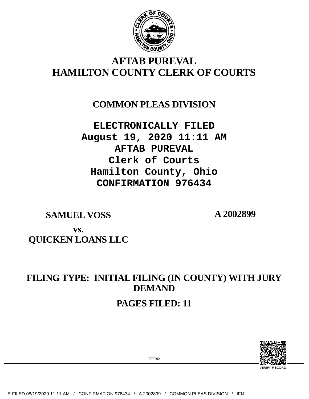

# **AFTAB PUREVAL HAMILTON COUNTY CLERK OF COURTS**

## **COMMON PLEAS DIVISION**

**ELECTRONICALLY FILED August 19, 2020 11:11 AM AFTAB PUREVAL Clerk of Courts Hamilton County, Ohio CONFIRMATION 976434**

**SAMUEL VOSS A 2002899**

# **vs. QUICKEN LOANS LLC**

# **FILING TYPE: INITIAL FILING (IN COUNTY) WITH JURY DEMAND PAGES FILED: 11**



EFR200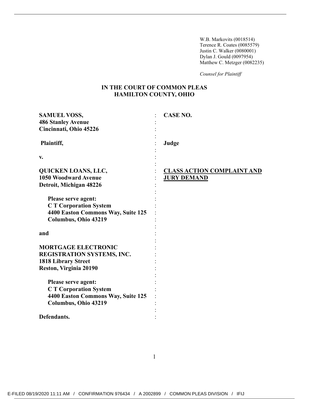W.B. Markovits (0018514) Terence R. Coates (0085579) Justin C. Walker (0080001) Dylan J. Gould (0097954) Matthew C. Metzger (0082235)

*Counsel for Plaintiff* 

### **IN THE COURT OF COMMON PLEAS HAMILTON COUNTY, OHIO**

| <b>SAMUEL VOSS,</b><br><b>486 Stanley Avenue</b><br>Cincinnati, Ohio 45226                                        | <b>CASE NO.</b>                                         |
|-------------------------------------------------------------------------------------------------------------------|---------------------------------------------------------|
| Plaintiff,                                                                                                        | Judge                                                   |
| V.                                                                                                                |                                                         |
| <b>QUICKEN LOANS, LLC,</b><br><b>1050 Woodward Avenue</b><br>Detroit, Michigan 48226                              | <b>CLASS ACTION COMPLAINT AND</b><br><b>JURY DEMAND</b> |
| Please serve agent:<br><b>CT Corporation System</b><br>4400 Easton Commons Way, Suite 125<br>Columbus, Ohio 43219 |                                                         |
| and                                                                                                               |                                                         |
| <b>MORTGAGE ELECTRONIC</b><br>REGISTRATION SYSTEMS, INC.<br><b>1818 Library Street</b><br>Reston, Virginia 20190  |                                                         |
| Please serve agent:<br><b>CT Corporation System</b><br>4400 Easton Commons Way, Suite 125<br>Columbus, Ohio 43219 |                                                         |
| Defendants.                                                                                                       |                                                         |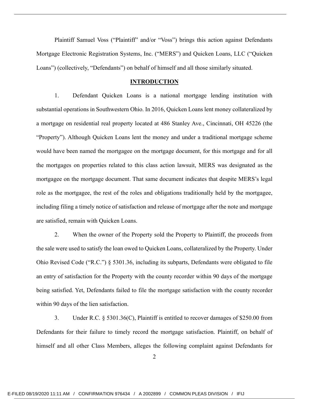Plaintiff Samuel Voss ("Plaintiff" and/or "Voss") brings this action against Defendants Mortgage Electronic Registration Systems, Inc. ("MERS") and Quicken Loans, LLC ("Quicken Loans") (collectively, "Defendants") on behalf of himself and all those similarly situated.

#### **INTRODUCTION**

1. Defendant Quicken Loans is a national mortgage lending institution with substantial operations in Southwestern Ohio. In 2016, Quicken Loans lent money collateralized by a mortgage on residential real property located at 486 Stanley Ave., Cincinnati, OH 45226 (the "Property"). Although Quicken Loans lent the money and under a traditional mortgage scheme would have been named the mortgagee on the mortgage document, for this mortgage and for all the mortgages on properties related to this class action lawsuit, MERS was designated as the mortgagee on the mortgage document. That same document indicates that despite MERS's legal role as the mortgagee, the rest of the roles and obligations traditionally held by the mortgagee, including filing a timely notice of satisfaction and release of mortgage after the note and mortgage are satisfied, remain with Quicken Loans.

2. When the owner of the Property sold the Property to Plaintiff, the proceeds from the sale were used to satisfy the loan owed to Quicken Loans, collateralized by the Property. Under Ohio Revised Code ("R.C.") § 5301.36, including its subparts, Defendants were obligated to file an entry of satisfaction for the Property with the county recorder within 90 days of the mortgage being satisfied. Yet, Defendants failed to file the mortgage satisfaction with the county recorder within 90 days of the lien satisfaction.

3. Under R.C. § 5301.36(C), Plaintiff is entitled to recover damages of \$250.00 from Defendants for their failure to timely record the mortgage satisfaction. Plaintiff, on behalf of himself and all other Class Members, alleges the following complaint against Defendants for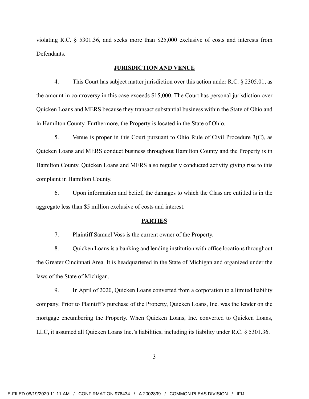violating R.C. § 5301.36, and seeks more than \$25,000 exclusive of costs and interests from Defendants.

#### **JURISDICTION AND VENUE**

4. This Court has subject matter jurisdiction over this action under R.C. § 2305.01, as the amount in controversy in this case exceeds \$15,000. The Court has personal jurisdiction over Quicken Loans and MERS because they transact substantial business within the State of Ohio and in Hamilton County. Furthermore, the Property is located in the State of Ohio.

5. Venue is proper in this Court pursuant to Ohio Rule of Civil Procedure 3(C), as Quicken Loans and MERS conduct business throughout Hamilton County and the Property is in Hamilton County. Quicken Loans and MERS also regularly conducted activity giving rise to this complaint in Hamilton County.

6. Upon information and belief, the damages to which the Class are entitled is in the aggregate less than \$5 million exclusive of costs and interest.

#### **PARTIES**

7. Plaintiff Samuel Voss is the current owner of the Property.

8. Quicken Loans is a banking and lending institution with office locations throughout the Greater Cincinnati Area. It is headquartered in the State of Michigan and organized under the laws of the State of Michigan.

9. In April of 2020, Quicken Loans converted from a corporation to a limited liability company. Prior to Plaintiff's purchase of the Property, Quicken Loans, Inc. was the lender on the mortgage encumbering the Property. When Quicken Loans, Inc. converted to Quicken Loans, LLC, it assumed all Quicken Loans Inc.'s liabilities, including its liability under R.C. § 5301.36.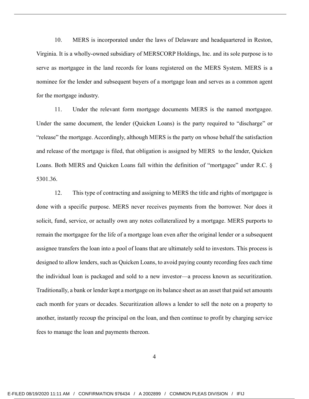10. MERS is incorporated under the laws of Delaware and headquartered in Reston, Virginia. It is a wholly-owned subsidiary of MERSCORP Holdings, Inc. and its sole purpose is to serve as mortgagee in the land records for loans registered on the MERS System. MERS is a nominee for the lender and subsequent buyers of a mortgage loan and serves as a common agent for the mortgage industry.

11. Under the relevant form mortgage documents MERS is the named mortgagee. Under the same document, the lender (Quicken Loans) is the party required to "discharge" or "release" the mortgage. Accordingly, although MERS is the party on whose behalf the satisfaction and release of the mortgage is filed, that obligation is assigned by MERS to the lender, Quicken Loans. Both MERS and Quicken Loans fall within the definition of "mortgagee" under R.C. § 5301.36.

12. This type of contracting and assigning to MERS the title and rights of mortgagee is done with a specific purpose. MERS never receives payments from the borrower. Nor does it solicit, fund, service, or actually own any notes collateralized by a mortgage. MERS purports to remain the mortgagee for the life of a mortgage loan even after the original lender or a subsequent assignee transfers the loan into a pool of loans that are ultimately sold to investors. This process is designed to allow lenders, such as Quicken Loans, to avoid paying county recording fees each time the individual loan is packaged and sold to a new investor—a process known as securitization. Traditionally, a bank or lender kept a mortgage on its balance sheet as an asset that paid set amounts each month for years or decades. Securitization allows a lender to sell the note on a property to another, instantly recoup the principal on the loan, and then continue to profit by charging service fees to manage the loan and payments thereon.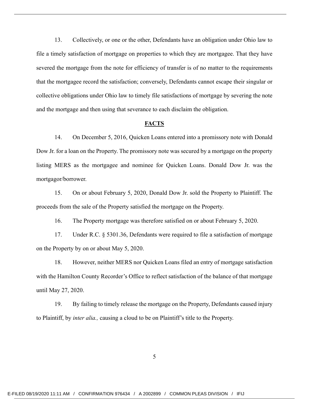13. Collectively, or one or the other, Defendants have an obligation under Ohio law to file a timely satisfaction of mortgage on properties to which they are mortgagee. That they have severed the mortgage from the note for efficiency of transfer is of no matter to the requirements that the mortgagee record the satisfaction; conversely, Defendants cannot escape their singular or collective obligations under Ohio law to timely file satisfactions of mortgage by severing the note and the mortgage and then using that severance to each disclaim the obligation.

#### **FACTS**

14. On December 5, 2016, Quicken Loans entered into a promissory note with Donald Dow Jr. for a loan on the Property. The promissory note was secured by a mortgage on the property listing MERS as the mortgagee and nominee for Quicken Loans. Donald Dow Jr. was the mortgagor/borrower.

15. On or about February 5, 2020, Donald Dow Jr. sold the Property to Plaintiff. The proceeds from the sale of the Property satisfied the mortgage on the Property.

16. The Property mortgage was therefore satisfied on or about February 5, 2020.

17. Under R.C. § 5301.36, Defendants were required to file a satisfaction of mortgage on the Property by on or about May 5, 2020.

18. However, neither MERS nor Quicken Loans filed an entry of mortgage satisfaction with the Hamilton County Recorder's Office to reflect satisfaction of the balance of that mortgage until May 27, 2020.

19. By failing to timely release the mortgage on the Property, Defendants caused injury to Plaintiff, by *inter alia.,* causing a cloud to be on Plaintiff's title to the Property.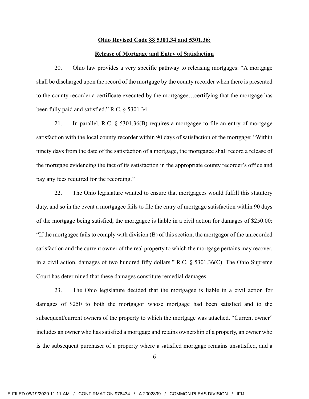### **Ohio Revised Code §§ 5301.34 and 5301.36:**

#### **Release of Mortgage and Entry of Satisfaction**

20. Ohio law provides a very specific pathway to releasing mortgages: "A mortgage shall be discharged upon the record of the mortgage by the county recorder when there is presented to the county recorder a certificate executed by the mortgagee…certifying that the mortgage has been fully paid and satisfied." R.C. § 5301.34.

21. In parallel, R.C. § 5301.36(B) requires a mortgagee to file an entry of mortgage satisfaction with the local county recorder within 90 days of satisfaction of the mortgage: "Within ninety days from the date of the satisfaction of a mortgage, the mortgagee shall record a release of the mortgage evidencing the fact of its satisfaction in the appropriate county recorder's office and pay any fees required for the recording."

22. The Ohio legislature wanted to ensure that mortgagees would fulfill this statutory duty, and so in the event a mortgagee fails to file the entry of mortgage satisfaction within 90 days of the mortgage being satisfied, the mortgagee is liable in a civil action for damages of \$250.00: "If the mortgagee fails to comply with division (B) of this section, the mortgagor of the unrecorded satisfaction and the current owner of the real property to which the mortgage pertains may recover, in a civil action, damages of two hundred fifty dollars." R.C. § 5301.36(C). The Ohio Supreme Court has determined that these damages constitute remedial damages.

23. The Ohio legislature decided that the mortgagee is liable in a civil action for damages of \$250 to both the mortgagor whose mortgage had been satisfied and to the subsequent/current owners of the property to which the mortgage was attached. "Current owner" includes an owner who has satisfied a mortgage and retains ownership of a property, an owner who is the subsequent purchaser of a property where a satisfied mortgage remains unsatisfied, and a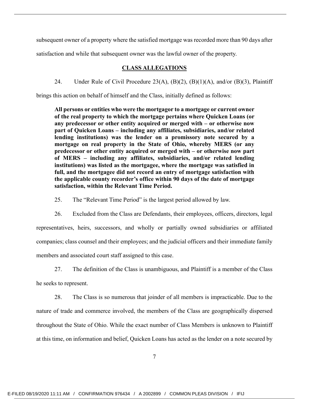subsequent owner of a property where the satisfied mortgage was recorded more than 90 days after

satisfaction and while that subsequent owner was the lawful owner of the property.

### **CLASS ALLEGATIONS**

24. Under Rule of Civil Procedure 23(A), (B)(2), (B)(1)(A), and/or (B)(3), Plaintiff

brings this action on behalf of himself and the Class, initially defined as follows:

**All persons or entities who were the mortgagor to a mortgage or current owner of the real property to which the mortgage pertains where Quicken Loans (or any predecessor or other entity acquired or merged with – or otherwise now part of Quicken Loans – including any affiliates, subsidiaries, and/or related lending institutions) was the lender on a promissory note secured by a mortgage on real property in the State of Ohio, whereby MERS (or any predecessor or other entity acquired or merged with – or otherwise now part of MERS – including any affiliates, subsidiaries, and/or related lending institutions) was listed as the mortgagee, where the mortgage was satisfied in full, and the mortgagee did not record an entry of mortgage satisfaction with the applicable county recorder's office within 90 days of the date of mortgage satisfaction, within the Relevant Time Period.** 

25. The "Relevant Time Period" is the largest period allowed by law.

26. Excluded from the Class are Defendants, their employees, officers, directors, legal representatives, heirs, successors, and wholly or partially owned subsidiaries or affiliated companies; class counsel and their employees; and the judicial officers and their immediate family members and associated court staff assigned to this case.

27. The definition of the Class is unambiguous, and Plaintiff is a member of the Class

he seeks to represent.

28. The Class is so numerous that joinder of all members is impracticable. Due to the nature of trade and commerce involved, the members of the Class are geographically dispersed throughout the State of Ohio. While the exact number of Class Members is unknown to Plaintiff at this time, on information and belief, Quicken Loans has acted as the lender on a note secured by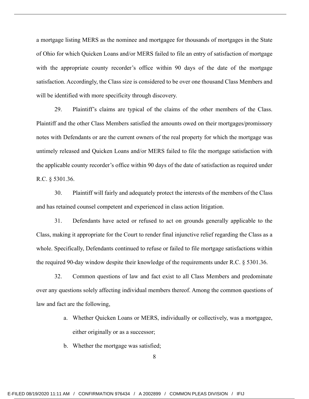a mortgage listing MERS as the nominee and mortgagee for thousands of mortgages in the State of Ohio for which Quicken Loans and/or MERS failed to file an entry of satisfaction of mortgage with the appropriate county recorder's office within 90 days of the date of the mortgage satisfaction. Accordingly, the Class size is considered to be over one thousand Class Members and will be identified with more specificity through discovery.

29. Plaintiff's claims are typical of the claims of the other members of the Class. Plaintiff and the other Class Members satisfied the amounts owed on their mortgages/promissory notes with Defendants or are the current owners of the real property for which the mortgage was untimely released and Quicken Loans and/or MERS failed to file the mortgage satisfaction with the applicable county recorder's office within 90 days of the date of satisfaction as required under R.C. § 5301.36.

30. Plaintiff will fairly and adequately protect the interests of the members of the Class and has retained counsel competent and experienced in class action litigation.

31. Defendants have acted or refused to act on grounds generally applicable to the Class, making it appropriate for the Court to render final injunctive relief regarding the Class as a whole. Specifically, Defendants continued to refuse or failed to file mortgage satisfactions within the required 90-day window despite their knowledge of the requirements under R.C. § 5301.36.

32. Common questions of law and fact exist to all Class Members and predominate over any questions solely affecting individual members thereof. Among the common questions of law and fact are the following,

- a. Whether Quicken Loans or MERS, individually or collectively, was a mortgagee, either originally or as a successor;
- b. Whether the mortgage was satisfied;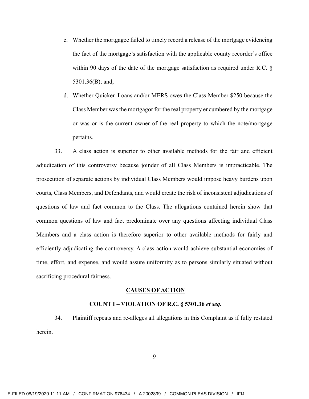- c. Whether the mortgagee failed to timely record a release of the mortgage evidencing the fact of the mortgage's satisfaction with the applicable county recorder's office within 90 days of the date of the mortgage satisfaction as required under R.C. § 5301.36(B); and,
- d. Whether Quicken Loans and/or MERS owes the Class Member \$250 because the Class Member was the mortgagor for the real property encumbered by the mortgage or was or is the current owner of the real property to which the note/mortgage pertains.

33. A class action is superior to other available methods for the fair and efficient adjudication of this controversy because joinder of all Class Members is impracticable. The prosecution of separate actions by individual Class Members would impose heavy burdens upon courts, Class Members, and Defendants, and would create the risk of inconsistent adjudications of questions of law and fact common to the Class. The allegations contained herein show that common questions of law and fact predominate over any questions affecting individual Class Members and a class action is therefore superior to other available methods for fairly and efficiently adjudicating the controversy. A class action would achieve substantial economies of time, effort, and expense, and would assure uniformity as to persons similarly situated without sacrificing procedural fairness.

#### **CAUSES OF ACTION**

#### **COUNT I – VIOLATION OF R.C. § 5301.36** *et seq***.**

34. Plaintiff repeats and re-alleges all allegations in this Complaint as if fully restated herein.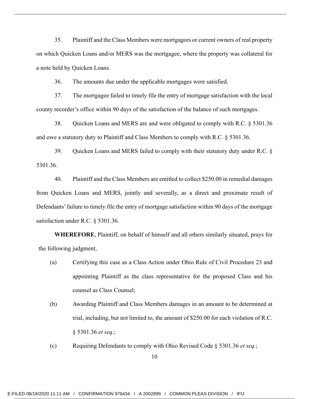35. Plaintiff and the Class Members were mortgagors or current owners of real property on which Quicken Loans and/or MERS was the mortgagee, where the property was collateral for a note held by Quicken Loans.

36. The amounts due under the applicable mortgages were satisfied.

37. The mortgagee failed to timely file the entry of mortgage satisfaction with the local county recorder's office within 90 days of the satisfaction of the balance of such mortgages.

38. Quicken Loans and MERS are and were obligated to comply with R.C. § 5301.36 and owe a statutory duty to Plaintiff and Class Members to comply with R.C. § 5301.36.

39. Quicken Loans and MERS failed to comply with their statutory duty under R.C. § 5301.36.

40. Plaintiff and the Class Members are entitled to collect \$250.00 in remedial damages from Quicken Loans and MERS, jointly and severally, as a direct and proximate result of Defendants' failure to timely file the entry of mortgage satisfaction within 90 days of the mortgage satisfaction under R.C. § 5301.36.

 **WHEREFORE**, Plaintiff, on behalf of himself and all others similarly situated, prays for the following judgment,

- (a) Certifying this case as a Class Action under Ohio Rule of Civil Procedure 23 and appointing Plaintiff as the class representative for the proposed Class and his counsel as Class Counsel;
- (b) Awarding Plaintiff and Class Members damages in an amount to be determined at trial, including, but not limited to, the amount of \$250.00 for each violation of R.C. § 5301.36 *et seq*.;
- (c) Requiring Defendants to comply with Ohio Revised Code § 5301.36 *et seq.*;